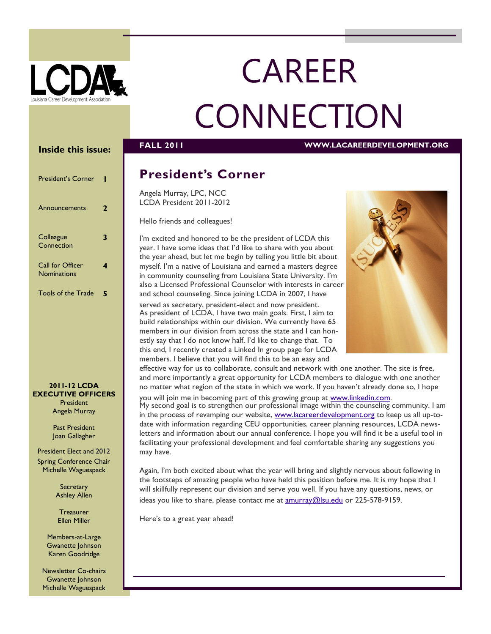

# CAREER **CONNECTION**

**FALL 2011 WWW.LACAREERDEVELOPMENT.ORG** 

#### **Inside this issue:**

| <b>President's Corner</b>              |   |
|----------------------------------------|---|
| Announcements                          | 2 |
| Colleague<br>Connection                | 3 |
| Call for Officer<br><b>Nominations</b> |   |
| <b>Tools of the Trade</b>              | 5 |

#### **2011-12 LCDA EXECUTIVE OFFICERS** President Angela Murray

Past President Joan Gallagher

President Elect and 2012 Spring Conference Chair Michelle Waguespack

> **Secretary** Ashley Allen

**Treasurer** Ellen Miller

Members-at-Large Gwanette Johnson Karen Goodridge

Newsletter Co-chairs Gwanette Johnson Michelle Waguespack

# **President's Corner**

Angela Murray, LPC, NCC LCDA President 2011-2012

Hello friends and colleagues!

I'm excited and honored to be the president of LCDA this year. I have some ideas that I'd like to share with you about the year ahead, but let me begin by telling you little bit about myself. I'm a native of Louisiana and earned a masters degree in community counseling from Louisiana State University. I'm also a Licensed Professional Counselor with interests in career and school counseling. Since joining LCDA in 2007, I have

served as secretary, president-elect and now president. As president of LCDA, I have two main goals. First, I aim to build relationships within our division. We currently have 65 members in our division from across the state and I can honestly say that I do not know half. I'd like to change that. To this end, I recently created a Linked In group page for LCDA members. I believe that you will find this to be an easy and



effective way for us to collaborate, consult and network with one another. The site is free, and more importantly a great opportunity for LCDA members to dialogue with one another no matter what region of the state in which we work. If you haven't already done so, I hope

you will join me in becoming part of this growing group at [www.linkedin.com.](http://www.linkedin.com) My second goal is to strengthen our professional image within the counseling community. I am in the process of revamping our website, [www.lacareerdevelopment.org](http://www.lacareerdevelopment.org) to keep us all up-todate with information regarding CEU opportunities, career planning resources, LCDA newsletters and information about our annual conference. I hope you will find it be a useful tool in facilitating your professional development and feel comfortable sharing any suggestions you may have.

Again, I'm both excited about what the year will bring and slightly nervous about following in the footsteps of amazing people who have held this position before me. It is my hope that I will skillfully represent our division and serve you well. If you have any questions, news, or ideas you like to share, please contact me at [amurray@lsu.edu](mailto:amurray@lsu.edu) or 225-578-9159.

Here's to a great year ahead!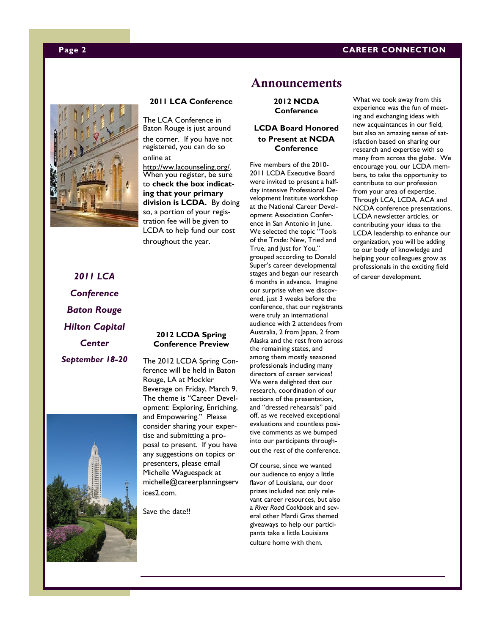#### **Page 2 CAREER CONNECTION**



#### **2011 LCA Conference**

The LCA Conference in Baton Rouge is just around the corner. If you have not registered, you can do so online at

http://ww.lacounseling.org/. When you register, be sure to **check the box indicating that your primary division is LCDA.** By doing so, a portion of your registration fee will be given to LCDA to help fund our cost throughout the year.

*2011 LCA Conference Baton Rouge Hilton Capital Center September 18-20*

#### **2012 LCDA Spring Conference Preview**

The 2012 LCDA Spring Conference will be held in Baton Rouge, LA at Mockler Beverage on Friday, March 9. The theme is "Career Development: Exploring, Enriching, and Empowering." Please consider sharing your expertise and submitting a proposal to present. If you have any suggestions on topics or presenters, please email Michelle Waguespack at michelle@careerplanningserv ices2.com.

Save the date!!

### **Announcements**

**2012 NCDA Conference**

#### **LCDA Board Honored to Present at NCDA Conference**

Five members of the 2010- 2011 LCDA Executive Board were invited to present a halfday intensive Professional Development Institute workshop at the National Career Development Association Conference in San Antonio in June. We selected the topic "Tools of the Trade: New, Tried and True, and Just for You," grouped according to Donald Super's career developmental stages and began our research 6 months in advance. Imagine our surprise when we discovered, just 3 weeks before the conference, that our registrants were truly an international audience with 2 attendees from Australia, 2 from Japan, 2 from Alaska and the rest from across the remaining states, and among them mostly seasoned professionals including many directors of career services! We were delighted that our research, coordination of our sections of the presentation, and "dressed rehearsals" paid off, as we received exceptional evaluations and countless positive comments as we bumped into our participants throughout the rest of the conference.

Of course, since we wanted our audience to enjoy a little flavor of Louisiana, our door prizes included not only relevant career resources, but also a *River Road Cookbook* and several other Mardi Gras themed giveaways to help our participants take a little Louisiana culture home with them.

What we took away from this experience was the fun of meeting and exchanging ideas with new acquaintances in our field, but also an amazing sense of satisfaction based on sharing our research and expertise with so many from across the globe. We encourage you, our LCDA members, to take the opportunity to contribute to our profession from your area of expertise. Through LCA, LCDA, ACA and NCDA conference presentations, LCDA newsletter articles, or contributing your ideas to the LCDA leadership to enhance our organization, you will be adding to our body of knowledge and helping your colleagues grow as professionals in the exciting field of career development.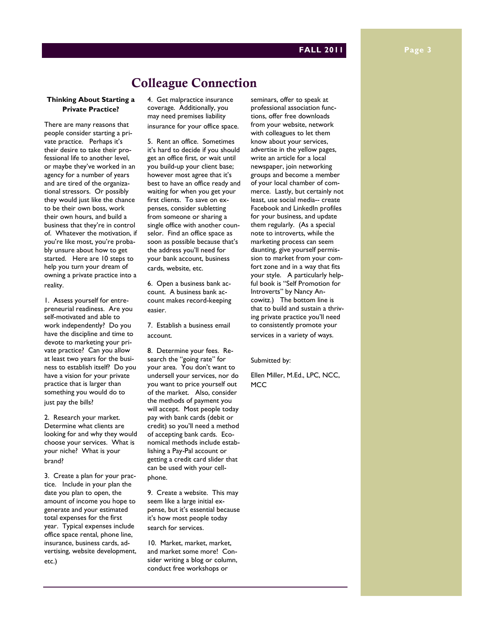#### **FALL 2011 Page 3**

## **Colleague Connection**

#### **Thinking About Starting a Private Practice?**

There are many reasons that people consider starting a private practice. Perhaps it's their desire to take their professional life to another level, or maybe they've worked in an agency for a number of years and are tired of the organizational stressors. Or possibly they would just like the chance to be their own boss, work their own hours, and build a business that they're in control of. Whatever the motivation, if you're like most, you're probably unsure about how to get started. Here are 10 steps to help you turn your dream of owning a private practice into a reality.

1. Assess yourself for entrepreneurial readiness. Are you self-motivated and able to work independently? Do you have the discipline and time to devote to marketing your private practice? Can you allow at least two years for the business to establish itself? Do you have a vision for your private practice that is larger than something you would do to just pay the bills?

2. Research your market. Determine what clients are looking for and why they would choose your services. What is your niche? What is your brand?

3. Create a plan for your practice. Include in your plan the date you plan to open, the amount of income you hope to generate and your estimated total expenses for the first year. Typical expenses include office space rental, phone line, insurance, business cards, advertising, website development, etc.)

4. Get malpractice insurance coverage. Additionally, you may need premises liability insurance for your office space.

5. Rent an office. Sometimes it's hard to decide if you should get an office first, or wait until you build-up your client base; however most agree that it's best to have an office ready and waiting for when you get your first clients. To save on expenses, consider subletting from someone or sharing a single office with another counselor. Find an office space as soon as possible because that's the address you'll need for your bank account, business cards, website, etc.

6. Open a business bank account. A business bank account makes record-keeping easier.

7. Establish a business email account.

8. Determine your fees. Research the "going rate" for your area. You don't want to undersell your services, nor do you want to price yourself out of the market. Also, consider the methods of payment you will accept. Most people today pay with bank cards (debit or credit) so you'll need a method of accepting bank cards. Economical methods include establishing a Pay-Pal account or getting a credit card slider that can be used with your cellphone.

9. Create a website. This may seem like a large initial expense, but it's essential because it's how most people today search for services.

10. Market, market, market, and market some more! Consider writing a blog or column, conduct free workshops or

seminars, offer to speak at professional association functions, offer free downloads from your website, network with colleagues to let them know about your services, advertise in the yellow pages, write an article for a local newspaper, join networking groups and become a member of your local chamber of commerce. Lastly, but certainly not least, use social media-- create Facebook and LinkedIn profiles for your business, and update them regularly. (As a special note to introverts, while the marketing process can seem daunting, give yourself permission to market from your comfort zone and in a way that fits your style. A particularly helpful book is "Self Promotion for Introverts" by Nancy Ancowitz.) The bottom line is that to build and sustain a thriving private practice you'll need to consistently promote your services in a variety of ways.

Submitted by:

Ellen Miller, M.Ed., LPC, NCC, **MCC**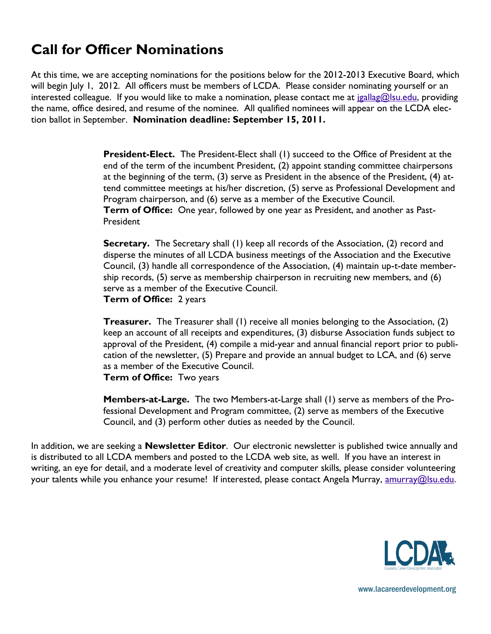# **Call for Officer Nominations**

At this time, we are accepting nominations for the positions below for the 2012-2013 Executive Board, which will begin July 1, 2012. All officers must be members of LCDA. Please consider nominating yourself or an interested colleague. If you would like to make a nomination, please contact me at [jgallag@lsu.edu,](mailto:jgallag@lsu.edu) providing the name, office desired, and resume of the nominee. All qualified nominees will appear on the LCDA election ballot in September. **Nomination deadline: September 15, 2011.**

> **President-Elect.** The President-Elect shall (1) succeed to the Office of President at the end of the term of the incumbent President, (2) appoint standing committee chairpersons at the beginning of the term, (3) serve as President in the absence of the President, (4) attend committee meetings at his/her discretion, (5) serve as Professional Development and Program chairperson, and (6) serve as a member of the Executive Council. **Term of Office:** One year, followed by one year as President, and another as Past-President

> **Secretary.** The Secretary shall (1) keep all records of the Association, (2) record and disperse the minutes of all LCDA business meetings of the Association and the Executive Council, (3) handle all correspondence of the Association, (4) maintain up-t-date membership records, (5) serve as membership chairperson in recruiting new members, and (6) serve as a member of the Executive Council. **Term of Office:** 2 years

> **Treasurer.** The Treasurer shall (1) receive all monies belonging to the Association, (2) keep an account of all receipts and expenditures, (3) disburse Association funds subject to approval of the President, (4) compile a mid-year and annual financial report prior to publication of the newsletter, (5) Prepare and provide an annual budget to LCA, and (6) serve as a member of the Executive Council. **Term of Office:** Two years

**Members-at-Large.** The two Members-at-Large shall (1) serve as members of the Professional Development and Program committee, (2) serve as members of the Executive Council, and (3) perform other duties as needed by the Council.

In addition, we are seeking a **Newsletter Editor**. Our electronic newsletter is published twice annually and is distributed to all LCDA members and posted to the LCDA web site, as well. If you have an interest in writing, an eye for detail, and a moderate level of creativity and computer skills, please consider volunteering your talents while you enhance your resume! If interested, please contact Angela Murray, [amurray@lsu.edu.](mailto:amurray@lsu.edu)



www.lacareerdevelopment.org